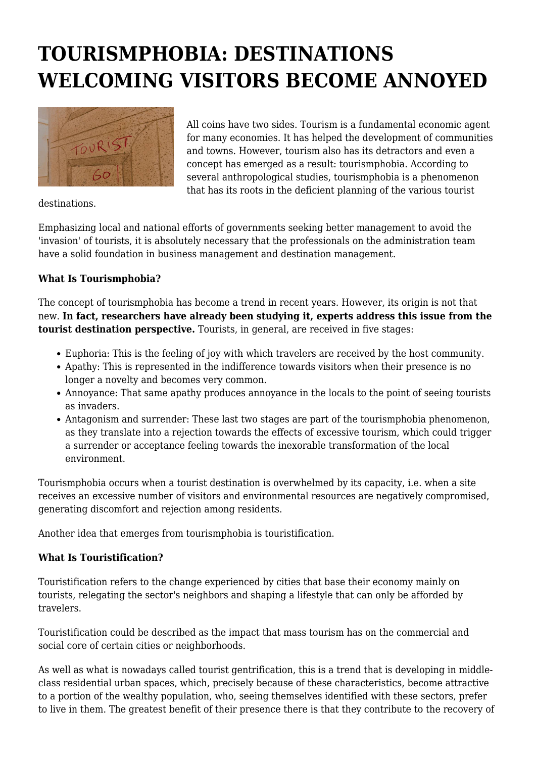# **TOURISMPHOBIA: DESTINATIONS WELCOMING VISITORS BECOME ANNOYED**



All coins have two sides. Tourism is a fundamental economic agent for many economies. It has helped the development of communities and towns. However, tourism also has its detractors and even a concept has emerged as a result: tourismphobia. According to several anthropological studies, tourismphobia is a phenomenon that has its roots in the deficient planning of the various tourist

destinations.

Emphasizing local and national efforts of governments seeking better management to avoid the 'invasion' of tourists, it is absolutely necessary that the professionals on the administration team have a solid foundation in business management and destination management.

## **What Is Tourismphobia?**

The concept of tourismphobia has become a trend in recent years. However, its origin is not that new. **In fact, researchers have already been studying it, experts address this issue from the tourist destination perspective.** Tourists, in general, are received in five stages:

- Euphoria: This is the feeling of joy with which travelers are received by the host community.
- Apathy: This is represented in the indifference towards visitors when their presence is no longer a novelty and becomes very common.
- Annoyance: That same apathy produces annoyance in the locals to the point of seeing tourists as invaders.
- Antagonism and surrender: These last two stages are part of the tourismphobia phenomenon, as they translate into a rejection towards the effects of excessive tourism, which could trigger a surrender or acceptance feeling towards the inexorable transformation of the local environment.

Tourismphobia occurs when a tourist destination is overwhelmed by its capacity, i.e. when a site receives an excessive number of visitors and environmental resources are negatively compromised, generating discomfort and rejection among residents.

Another idea that emerges from tourismphobia is touristification.

## **What Is Touristification?**

Touristification refers to the change experienced by cities that base their economy mainly on tourists, relegating the sector's neighbors and shaping a lifestyle that can only be afforded by travelers.

Touristification could be described as the impact that mass tourism has on the commercial and social core of certain cities or neighborhoods.

As well as what is nowadays called tourist gentrification, this is a trend that is developing in middleclass residential urban spaces, which, precisely because of these characteristics, become attractive to a portion of the wealthy population, who, seeing themselves identified with these sectors, prefer to live in them. The greatest benefit of their presence there is that they contribute to the recovery of